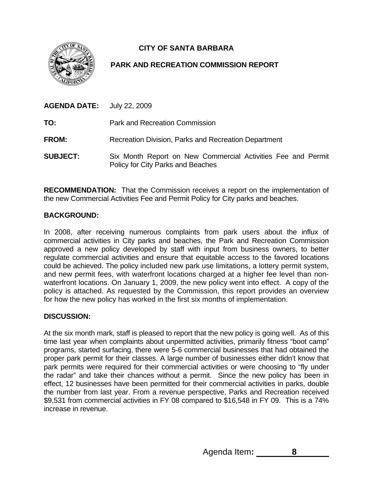

# **CITY OF SANTA BARBARA**

# **PARK AND RECREATION COMMISSION REPORT**

| <b>AGENDA DATE:</b> July 22, 2009 |                                                                                                   |
|-----------------------------------|---------------------------------------------------------------------------------------------------|
| TO:                               | <b>Park and Recreation Commission</b>                                                             |
| <b>FROM:</b>                      | Recreation Division, Parks and Recreation Department                                              |
| <b>SUBJECT:</b>                   | Six Month Report on New Commercial Activities Fee and Permit<br>Policy for City Parks and Beaches |

**RECOMMENDATION:** That the Commission receives a report on the implementation of the new Commercial Activities Fee and Permit Policy for City parks and beaches.

## **BACKGROUND:**

In 2008, after receiving numerous complaints from park users about the influx of commercial activities in City parks and beaches, the Park and Recreation Commission approved a new policy developed by staff with input from business owners, to better regulate commercial activities and ensure that equitable access to the favored locations could be achieved. The policy included new park use limitations, a lottery permit system, and new permit fees, with waterfront locations charged at a higher fee level than nonwaterfront locations. On January 1, 2009, the new policy went into effect. A copy of the policy is attached. As requested by the Commission, this report provides an overview for how the new policy has worked in the first six months of implementation.

### **DISCUSSION:**

At the six month mark, staff is pleased to report that the new policy is going well. As of this time last year when complaints about unpermitted activities, primarily fitness "boot camp" programs, started surfacing, there were 5-6 commercial businesses that had obtained the proper park permit for their classes. A large number of businesses either didn't know that park permits were required for their commercial activities or were choosing to "fly under the radar" and take their chances without a permit. Since the new policy has been in effect, 12 businesses have been permitted for their commercial activities in parks, double the number from last year. From a revenue perspective, Parks and Recreation received \$9,531 from commercial activities in FY 08 compared to \$16,548 in FY 09. This is a 74% increase in revenue.